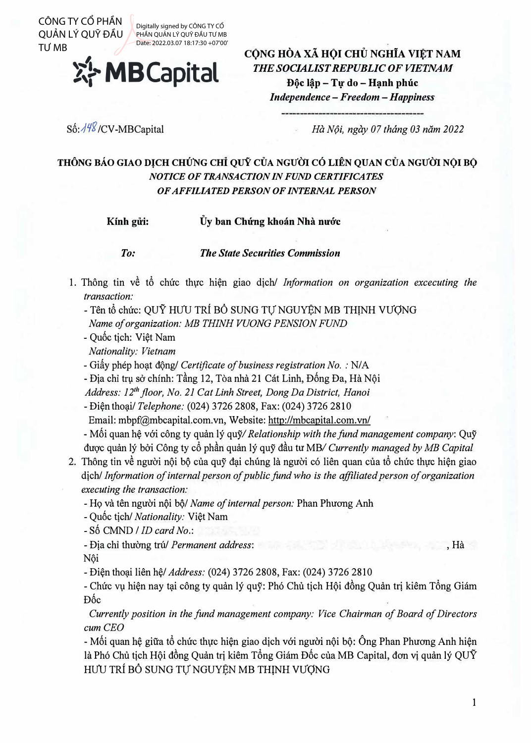QUẢN LÝ QUỸ ĐẦU TƯ MB

Digitally signed by CÔNG TY CỔ PHẦN QUẢN LÝ QUỸ ĐẦU TƯ MB Date: 2022.03.07 18:17:30 +07'00'



**C()NG HOA** XA **H()I CHU NGHiA VItT NAM**  *THE SOCIALIST REPUBLIC OF VIETNAM D9c l�p - Tlf do -* **H,nh** *phuc* 

*Independence* - *Freedom* - *Happiness* 

Số: //<sup>48</sup>/CV-MBCapital

*Ha N9i, ngay 07 thang 03 nam 2022* 

## **THONG BAO GIAO DJCH CHUNG** cHi **QUY CUA NGU'OI** c6 **LIEN QUAN CUA NGU'OI N◊I B◊**  *NOTICE OF TRANSACTION IN FUND CERTIFICATES OF AFFILIATED PERSON OF INTERNAL PERSON*

Kính gửi: <sup>Ủy</sup> ban Chứng khoán Nhà nước

*To: TIie State Securities Commission* 

- 1. Thông tin về tổ chức thực hiện giao dịch/ *Information on organization excecuting the transaction:*
	- Tên tổ chức: QUY HƯU TRÍ BỒ SUNG TƯ NGUYÊN MB THINH VƯƠNG *Name of organization: MB TH/NH VUONG PENS/ON FUND*
	- Qu6c tich: Viet Nam
	- *Nationality: Vietnam*
	- Giấy phép hoat đông/ *Certificate of business registration No.* : N/A

- Địa chỉ trụ sở chính: Tầng 12, Tòa nhà 21 Cát Linh, Đống Đa, Hà Nội

*Address: 12th floor, No. 21 Cat Linh Street, Dong Da District, Hanoi* 

- Dien tho�i/ *Telephone:* (024) 3726 2808, Fax: (024) 3726 2810

Email: mbpf@mbcapital.com.vn, Website: http://mbcapital.com.vn/

- Môi quan hệ với công ty quản lý quỹ/ *Relationship with the fund management company*: Quỹ duqc quan ly b6i Cong ty cf> phdn quan ly quy ddu *tu* MB/ *Currently managed by MB Capital*

- 2. Thông tin về người nội bộ của quỹ đại chúng là người có liên quan của tổ chức thực hiện giao dich/ *Information of internal person of public fund who is the affiliated person of organization executing the transaction:* CONGREGION TRIGAN INTERNATION CONGREGION CONTROL (2014) The SUCK CONGREGION CONGREGION CONGREGION CONGREGION CONGREGION CONGREGION CONGREGION CONGREGION CONGREGION CONGREGION CONGREGION CONGREGION CONGREGION CONGREGION CO
	- Họ và tên người nội bộ/ Name of internal person: Phan Phương Anh
	- Quốc tich/ *Nationality:* Việt Nam
	- Số CMND / *ID card No.*:
	- Dia chi thuang tru/ *Permanent address:* , Ha Nôi
	- Di�n tho�i lien h�/ *Address:* (024) 3726 2808, Fax: (024) 3726 2810

- Chức vụ hiện nay tại công ty quản lý quỹ: Phó Chủ tịch Hội đồng Quản trị kiêm Tổng Giám D6c

*Currently position in the fund management company: Vice Chairman of Board of Directors cum CEO* 

 $-$  Mối quan hê giữa tổ chức thưc hiện giao dich với người nội bộ: Ông Phan Phương Anh hiện là Phó Chủ tịch Hôi đồng Quản trị kiệm Tổng Giám Đốc của MB Capital, đơn vị quản lý QUỹ HƯU TRÍ BỔ SUNG TỰ NGUYỆN MB THỊNH VƯỢNG